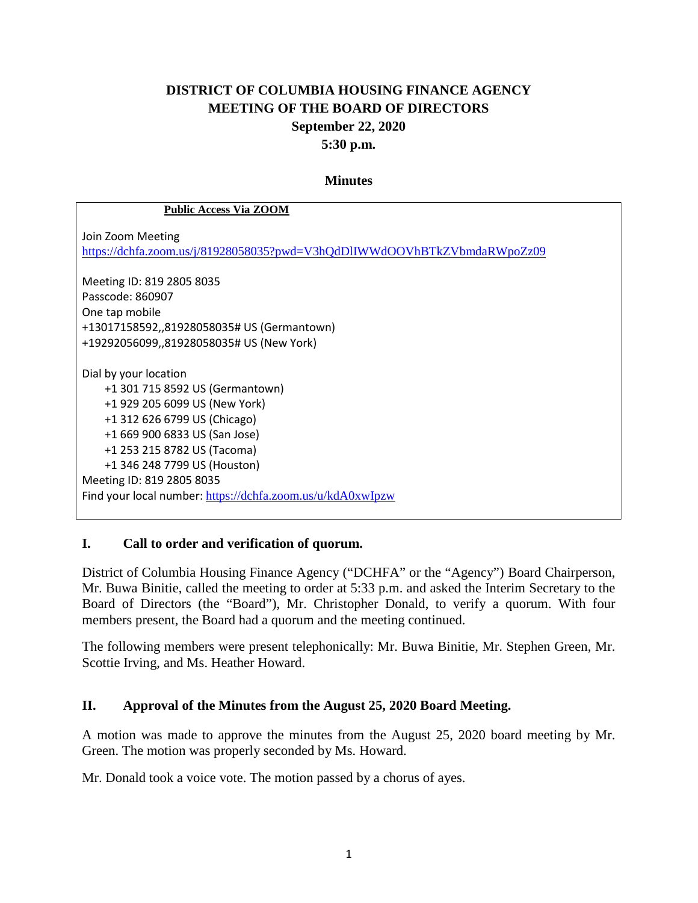# **DISTRICT OF COLUMBIA HOUSING FINANCE AGENCY MEETING OF THE BOARD OF DIRECTORS September 22, 2020 5:30 p.m.**

#### **Minutes**

#### **Public Access Via ZOOM**

Join Zoom Meeting <https://dchfa.zoom.us/j/81928058035?pwd=V3hQdDlIWWdOOVhBTkZVbmdaRWpoZz09>

Meeting ID: 819 2805 8035 Passcode: 860907 One tap mobile +13017158592,,81928058035# US (Germantown) +19292056099,,81928058035# US (New York)

Dial by your location +1 301 715 8592 US (Germantown) +1 929 205 6099 US (New York) +1 312 626 6799 US (Chicago) +1 669 900 6833 US (San Jose) +1 253 215 8782 US (Tacoma) +1 346 248 7799 US (Houston) Meeting ID: 819 2805 8035 Find your local number: <https://dchfa.zoom.us/u/kdA0xwIpzw>

#### **I. Call to order and verification of quorum.**

District of Columbia Housing Finance Agency ("DCHFA" or the "Agency") Board Chairperson, Mr. Buwa Binitie, called the meeting to order at 5:33 p.m. and asked the Interim Secretary to the Board of Directors (the "Board"), Mr. Christopher Donald, to verify a quorum. With four members present, the Board had a quorum and the meeting continued.

The following members were present telephonically: Mr. Buwa Binitie, Mr. Stephen Green, Mr. Scottie Irving, and Ms. Heather Howard.

#### **II. Approval of the Minutes from the August 25, 2020 Board Meeting.**

A motion was made to approve the minutes from the August 25, 2020 board meeting by Mr. Green. The motion was properly seconded by Ms. Howard.

Mr. Donald took a voice vote. The motion passed by a chorus of ayes.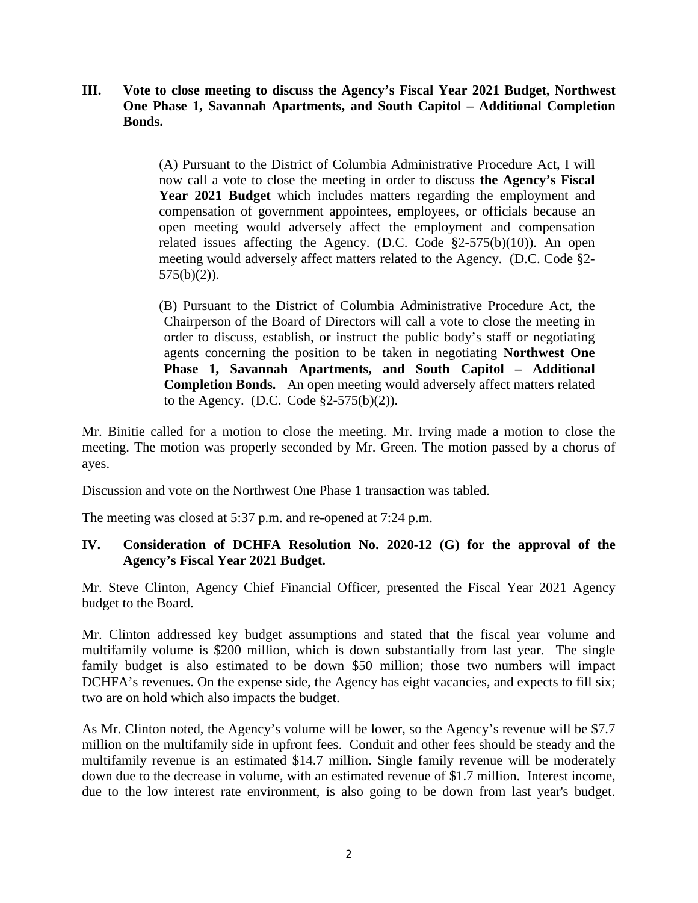### **III. Vote to close meeting to discuss the Agency's Fiscal Year 2021 Budget, Northwest One Phase 1, Savannah Apartments, and South Capitol – Additional Completion Bonds.**

(A) Pursuant to the District of Columbia Administrative Procedure Act, I will now call a vote to close the meeting in order to discuss **the Agency's Fiscal Year 2021 Budget** which includes matters regarding the employment and compensation of government appointees, employees, or officials because an open meeting would adversely affect the employment and compensation related issues affecting the Agency. (D.C. Code  $\S2-575(b)(10)$ ). An open meeting would adversely affect matters related to the Agency. (D.C. Code §2- 575(b)(2)).

(B) Pursuant to the District of Columbia Administrative Procedure Act, the Chairperson of the Board of Directors will call a vote to close the meeting in order to discuss, establish, or instruct the public body's staff or negotiating agents concerning the position to be taken in negotiating **Northwest One Phase 1, Savannah Apartments, and South Capitol – Additional Completion Bonds.** An open meeting would adversely affect matters related to the Agency. (D.C. Code  $\S2-575(b)(2)$ ).

Mr. Binitie called for a motion to close the meeting. Mr. Irving made a motion to close the meeting. The motion was properly seconded by Mr. Green. The motion passed by a chorus of ayes.

Discussion and vote on the Northwest One Phase 1 transaction was tabled.

The meeting was closed at 5:37 p.m. and re-opened at 7:24 p.m.

#### **IV. Consideration of DCHFA Resolution No. 2020-12 (G) for the approval of the Agency's Fiscal Year 2021 Budget.**

Mr. Steve Clinton, Agency Chief Financial Officer, presented the Fiscal Year 2021 Agency budget to the Board.

Mr. Clinton addressed key budget assumptions and stated that the fiscal year volume and multifamily volume is \$200 million, which is down substantially from last year. The single family budget is also estimated to be down \$50 million; those two numbers will impact DCHFA's revenues. On the expense side, the Agency has eight vacancies, and expects to fill six; two are on hold which also impacts the budget.

As Mr. Clinton noted, the Agency's volume will be lower, so the Agency's revenue will be \$7.7 million on the multifamily side in upfront fees. Conduit and other fees should be steady and the multifamily revenue is an estimated \$14.7 million. Single family revenue will be moderately down due to the decrease in volume, with an estimated revenue of \$1.7 million. Interest income, due to the low interest rate environment, is also going to be down from last year's budget.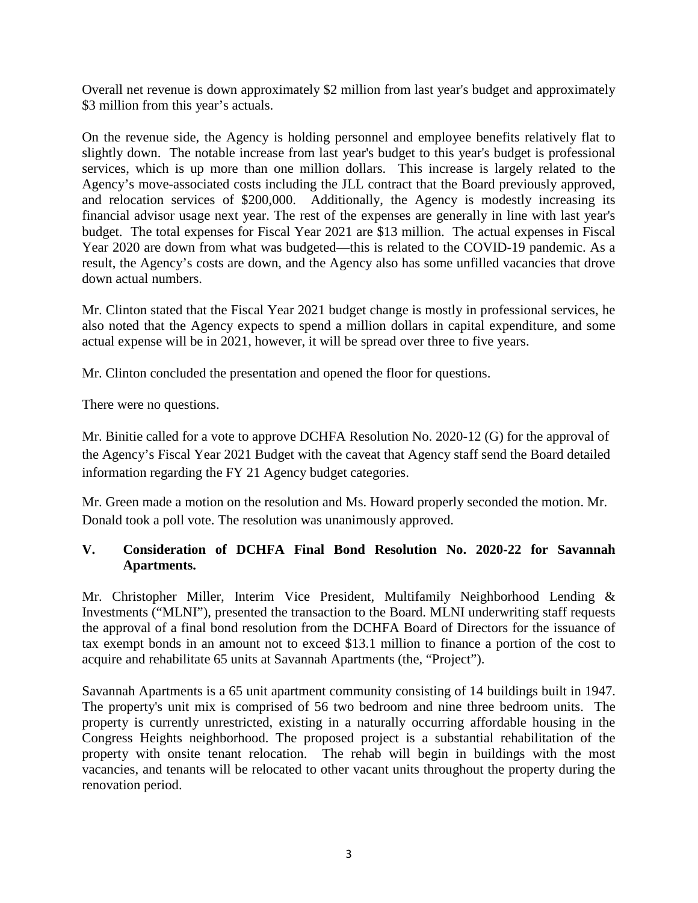Overall net revenue is down approximately \$2 million from last year's budget and approximately \$3 million from this year's actuals.

On the revenue side, the Agency is holding personnel and employee benefits relatively flat to slightly down. The notable increase from last year's budget to this year's budget is professional services, which is up more than one million dollars. This increase is largely related to the Agency's move-associated costs including the JLL contract that the Board previously approved, and relocation services of \$200,000. Additionally, the Agency is modestly increasing its financial advisor usage next year. The rest of the expenses are generally in line with last year's budget. The total expenses for Fiscal Year 2021 are \$13 million. The actual expenses in Fiscal Year 2020 are down from what was budgeted—this is related to the COVID-19 pandemic. As a result, the Agency's costs are down, and the Agency also has some unfilled vacancies that drove down actual numbers.

Mr. Clinton stated that the Fiscal Year 2021 budget change is mostly in professional services, he also noted that the Agency expects to spend a million dollars in capital expenditure, and some actual expense will be in 2021, however, it will be spread over three to five years.

Mr. Clinton concluded the presentation and opened the floor for questions.

There were no questions.

Mr. Binitie called for a vote to approve DCHFA Resolution No. 2020-12 (G) for the approval of the Agency's Fiscal Year 2021 Budget with the caveat that Agency staff send the Board detailed information regarding the FY 21 Agency budget categories.

Mr. Green made a motion on the resolution and Ms. Howard properly seconded the motion. Mr. Donald took a poll vote. The resolution was unanimously approved.

# **V. Consideration of DCHFA Final Bond Resolution No. 2020-22 for Savannah Apartments.**

Mr. Christopher Miller, Interim Vice President, Multifamily Neighborhood Lending & Investments ("MLNI"), presented the transaction to the Board. MLNI underwriting staff requests the approval of a final bond resolution from the DCHFA Board of Directors for the issuance of tax exempt bonds in an amount not to exceed \$13.1 million to finance a portion of the cost to acquire and rehabilitate 65 units at Savannah Apartments (the, "Project").

Savannah Apartments is a 65 unit apartment community consisting of 14 buildings built in 1947. The property's unit mix is comprised of 56 two bedroom and nine three bedroom units. The property is currently unrestricted, existing in a naturally occurring affordable housing in the Congress Heights neighborhood. The proposed project is a substantial rehabilitation of the property with onsite tenant relocation. The rehab will begin in buildings with the most vacancies, and tenants will be relocated to other vacant units throughout the property during the renovation period.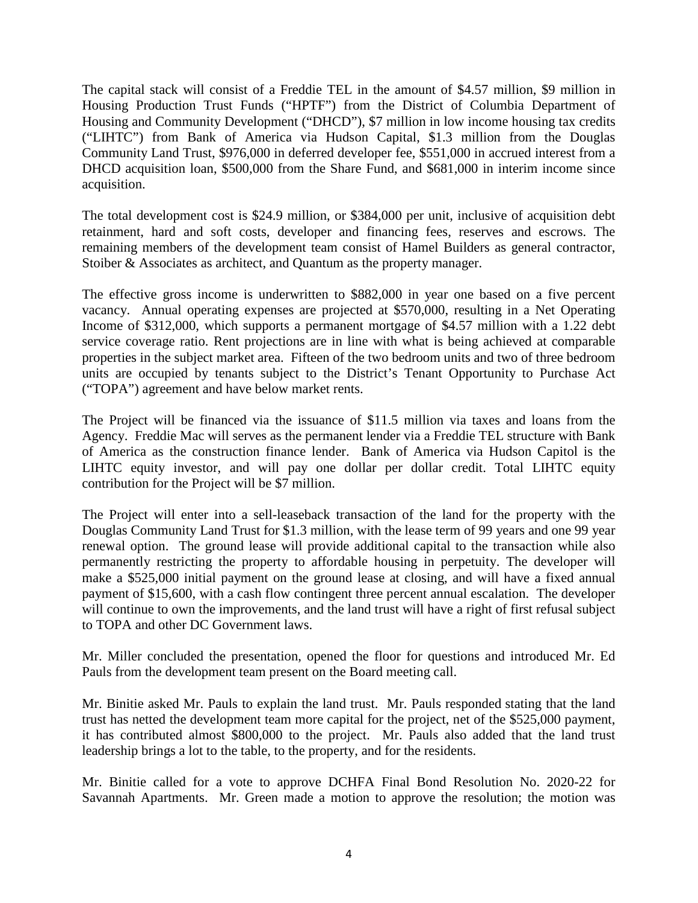The capital stack will consist of a Freddie TEL in the amount of \$4.57 million, \$9 million in Housing Production Trust Funds ("HPTF") from the District of Columbia Department of Housing and Community Development ("DHCD"), \$7 million in low income housing tax credits ("LIHTC") from Bank of America via Hudson Capital, \$1.3 million from the Douglas Community Land Trust, \$976,000 in deferred developer fee, \$551,000 in accrued interest from a DHCD acquisition loan, \$500,000 from the Share Fund, and \$681,000 in interim income since acquisition.

The total development cost is \$24.9 million, or \$384,000 per unit, inclusive of acquisition debt retainment, hard and soft costs, developer and financing fees, reserves and escrows. The remaining members of the development team consist of Hamel Builders as general contractor, Stoiber & Associates as architect, and Quantum as the property manager.

The effective gross income is underwritten to \$882,000 in year one based on a five percent vacancy. Annual operating expenses are projected at \$570,000, resulting in a Net Operating Income of \$312,000, which supports a permanent mortgage of \$4.57 million with a 1.22 debt service coverage ratio. Rent projections are in line with what is being achieved at comparable properties in the subject market area. Fifteen of the two bedroom units and two of three bedroom units are occupied by tenants subject to the District's Tenant Opportunity to Purchase Act ("TOPA") agreement and have below market rents.

The Project will be financed via the issuance of \$11.5 million via taxes and loans from the Agency. Freddie Mac will serves as the permanent lender via a Freddie TEL structure with Bank of America as the construction finance lender. Bank of America via Hudson Capitol is the LIHTC equity investor, and will pay one dollar per dollar credit. Total LIHTC equity contribution for the Project will be \$7 million.

The Project will enter into a sell-leaseback transaction of the land for the property with the Douglas Community Land Trust for \$1.3 million, with the lease term of 99 years and one 99 year renewal option. The ground lease will provide additional capital to the transaction while also permanently restricting the property to affordable housing in perpetuity. The developer will make a \$525,000 initial payment on the ground lease at closing, and will have a fixed annual payment of \$15,600, with a cash flow contingent three percent annual escalation. The developer will continue to own the improvements, and the land trust will have a right of first refusal subject to TOPA and other DC Government laws.

Mr. Miller concluded the presentation, opened the floor for questions and introduced Mr. Ed Pauls from the development team present on the Board meeting call.

Mr. Binitie asked Mr. Pauls to explain the land trust. Mr. Pauls responded stating that the land trust has netted the development team more capital for the project, net of the \$525,000 payment, it has contributed almost \$800,000 to the project. Mr. Pauls also added that the land trust leadership brings a lot to the table, to the property, and for the residents.

Mr. Binitie called for a vote to approve DCHFA Final Bond Resolution No. 2020-22 for Savannah Apartments. Mr. Green made a motion to approve the resolution; the motion was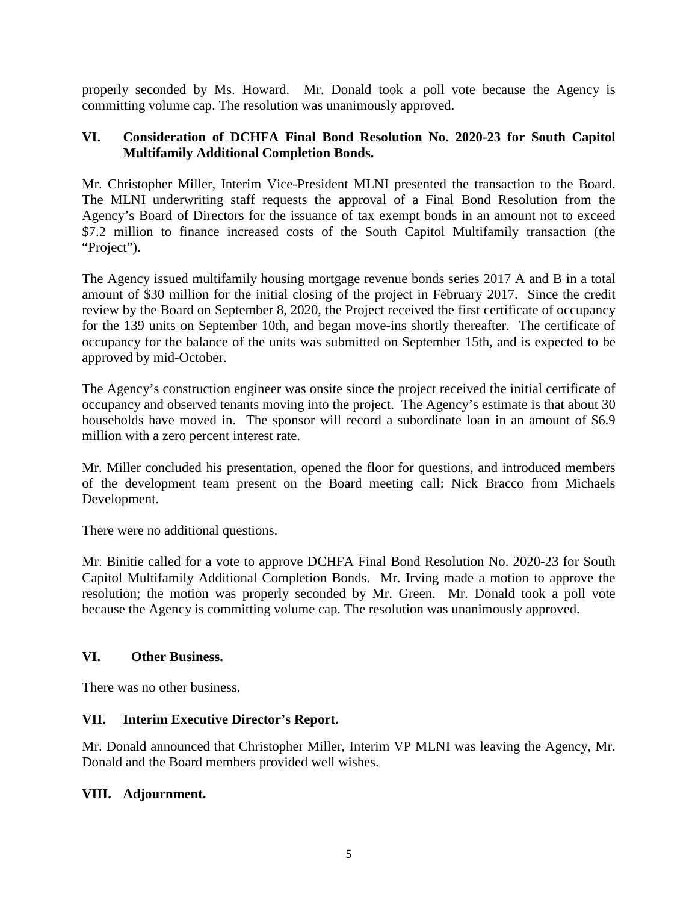properly seconded by Ms. Howard. Mr. Donald took a poll vote because the Agency is committing volume cap. The resolution was unanimously approved.

### **VI. Consideration of DCHFA Final Bond Resolution No. 2020-23 for South Capitol Multifamily Additional Completion Bonds.**

Mr. Christopher Miller, Interim Vice-President MLNI presented the transaction to the Board. The MLNI underwriting staff requests the approval of a Final Bond Resolution from the Agency's Board of Directors for the issuance of tax exempt bonds in an amount not to exceed \$7.2 million to finance increased costs of the South Capitol Multifamily transaction (the "Project").

The Agency issued multifamily housing mortgage revenue bonds series 2017 A and B in a total amount of \$30 million for the initial closing of the project in February 2017. Since the credit review by the Board on September 8, 2020, the Project received the first certificate of occupancy for the 139 units on September 10th, and began move-ins shortly thereafter. The certificate of occupancy for the balance of the units was submitted on September 15th, and is expected to be approved by mid-October.

The Agency's construction engineer was onsite since the project received the initial certificate of occupancy and observed tenants moving into the project. The Agency's estimate is that about 30 households have moved in. The sponsor will record a subordinate loan in an amount of \$6.9 million with a zero percent interest rate.

Mr. Miller concluded his presentation, opened the floor for questions, and introduced members of the development team present on the Board meeting call: Nick Bracco from Michaels Development.

There were no additional questions.

Mr. Binitie called for a vote to approve DCHFA Final Bond Resolution No. 2020-23 for South Capitol Multifamily Additional Completion Bonds. Mr. Irving made a motion to approve the resolution; the motion was properly seconded by Mr. Green. Mr. Donald took a poll vote because the Agency is committing volume cap. The resolution was unanimously approved.

# **VI. Other Business.**

There was no other business.

# **VII. Interim Executive Director's Report.**

Mr. Donald announced that Christopher Miller, Interim VP MLNI was leaving the Agency, Mr. Donald and the Board members provided well wishes.

# **VIII. Adjournment.**